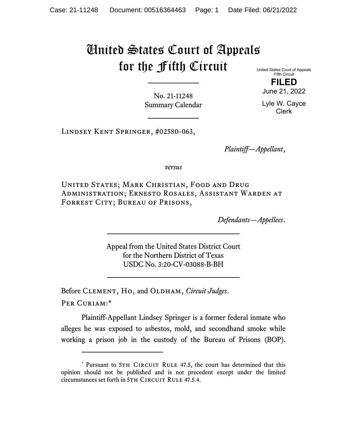## United States Court of Appeals for the Fifth Circuit

United States Court of Appeals Fifth Circuit **FILED** 

June 21, 2022

No. 21-11248 Summary Calendar

Lyle W. Cayce Clerk

Lindsey Kent Springer, #02580-063,

*Plaintiff—Appellant*,

*versus*

United States; Mark Christian, Food and Drug Administration; Ernesto Rosales, Assistant Warden at FORREST CITY; BUREAU OF PRISONS,

*Defendants—Appellees*.

Appeal from the United States District Court for the Northern District of Texas USDC No. 3:20-CV-03088-B-BH

Before CLEMENT, HO, and OLDHAM, *Circuit Judges*. Per Curiam:\*

Plaintiff-Appellant Lindsey Springer is a former federal inmate who alleges he was exposed to asbestos, mold, and secondhand smoke while working a prison job in the custody of the Bureau of Prisons (BOP).

<sup>\*</sup> Pursuant to 5TH CIRCUIT RULE 47.5, the court has determined that this opinion should not be published and is not precedent except under the limited circumstances set forth in 5TH CIRCUIT RULE 47.5.4.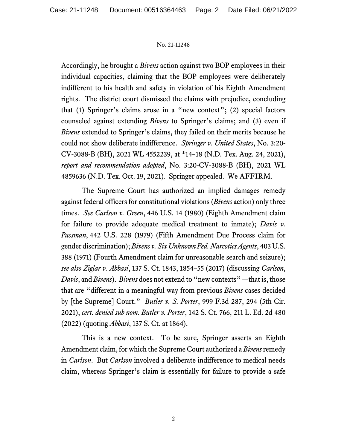## No. 21-11248

Accordingly, he brought a *Bivens* action against two BOP employees in their individual capacities, claiming that the BOP employees were deliberately indifferent to his health and safety in violation of his Eighth Amendment rights. The district court dismissed the claims with prejudice, concluding that (1) Springer's claims arose in a "new context"; (2) special factors counseled against extending *Bivens* to Springer's claims; and (3) even if *Bivens* extended to Springer's claims, they failed on their merits because he could not show deliberate indifference. *Springer v. United States*, No. 3:20- CV-3088-B (BH), 2021 WL 4552239, at \*14–18 (N.D. Tex. Aug. 24, 2021), *report and recommendation adopted*, No. 3:20-CV-3088-B (BH), 2021 WL 4859636 (N.D. Tex. Oct. 19, 2021). Springer appealed. We AFFIRM.

The Supreme Court has authorized an implied damages remedy against federal officers for constitutional violations (*Bivens* action) only three times. *See Carlson v. Green*, 446 U.S. 14 (1980) (Eighth Amendment claim for failure to provide adequate medical treatment to inmate); *Davis v. Passman*, 442 U.S. 228 (1979) (Fifth Amendment Due Process claim for gender discrimination); *Bivens v. Six Unknown Fed. Narcotics Agents*, 403 U.S. 388 (1971) (Fourth Amendment claim for unreasonable search and seizure); *see also Ziglar v. Abbasi*, 137 S. Ct. 1843, 1854–55 (2017) (discussing *Carlson*, *Davis*, and *Bivens*). *Bivens* does not extend to "new contexts"—that is, those that are "different in a meaningful way from previous *Bivens* cases decided by [the Supreme] Court." *Butler v. S. Porter*, 999 F.3d 287, 294 (5th Cir. 2021), *cert. denied sub nom. Butler v. Porter*, 142 S. Ct. 766, 211 L. Ed. 2d 480 (2022) (quoting *Abbasi*, 137 S. Ct. at 1864).

This is a new context. To be sure, Springer asserts an Eighth Amendment claim, for which the Supreme Court authorized a *Bivens* remedy in *Carlson*. But *Carlson* involved a deliberate indifference to medical needs claim, whereas Springer's claim is essentially for failure to provide a safe